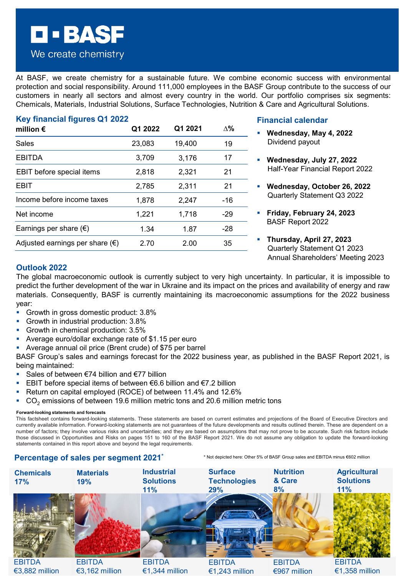At BASF, we create chemistry for a sustainable future. We combine economic success with environmental protection and social responsibility. Around 111,000 employees in the BASF Group contribute to the success of our customers in nearly all sectors and almost every country in the world. Our portfolio comprises six segments: Chemicals, Materials, Industrial Solutions, Surface Technologies, Nutrition & Care and Agricultural Solutions.

| Key financial figures Q1 2022            |         |         |            |
|------------------------------------------|---------|---------|------------|
| million $\epsilon$                       | Q1 2022 | Q1 2021 | $\Lambda%$ |
| Sales                                    | 23,083  | 19,400  | 19         |
| <b>EBITDA</b>                            | 3,709   | 3,176   | 17         |
| EBIT before special items                | 2,818   | 2,321   | 21         |
| <b>EBIT</b>                              | 2,785   | 2,311   | 21         |
| Income before income taxes               | 1,878   | 2,247   | $-16$      |
| Net income                               | 1,221   | 1,718   | -29        |
| Earnings per share $(\epsilon)$          | 1.34    | 1.87    | $-28$      |
| Adjusted earnings per share $(\epsilon)$ | 2.70    | 2.00    | 35         |

#### **Financial calendar**

- **Wednesday, May 4, 2022** Dividend payout
- **Wednesday, July 27, 2022** Half-Year Financial Report 2022
- **Wednesday, October 26, 2022** Quarterly Statement Q3 2022
- **Friday, February 24, 2023** BASF Report 2022
- **Thursday, April 27, 2023** Quarterly Statement Q1 2023 Annual Shareholders' Meeting 2023

## **Outlook 2022**

The global macroeconomic outlook is currently subject to very high uncertainty. In particular, it is impossible to predict the further development of the war in Ukraine and its impact on the prices and availability of energy and raw materials. Consequently, BASF is currently maintaining its macroeconomic assumptions for the 2022 business year:

- Growth in gross domestic product: 3.8%
- Growth in industrial production: 3.8%

**EEBASE** 

We create chemistry

- Growth in chemical production: 3.5%
- Average euro/dollar exchange rate of \$1.15 per euro
- Average annual oil price (Brent crude) of \$75 per barrel

BASF Group's sales and earnings forecast for the 2022 business year, as published in the BASF Report 2021, is being maintained:

- Sales of between €74 billion and €77 billion
- EBIT before special items of between €6.6 billion and €7.2 billion
- **Return on capital employed (ROCE) of between 11.4% and 12.6%**
- $CO<sub>2</sub>$  emissions of between 19.6 million metric tons and 20.6 million metric tons

#### **Forward-looking statements and forecasts**

This factsheet contains forward-looking statements. These statements are based on current estimates and projections of the Board of Executive Directors and currently available information. Forward-looking statements are not guarantees of the future developments and results outlined therein. These are dependent on a number of factors; they involve various risks and uncertainties; and they are based on assumptions that may not prove to be accurate. Such risk factors include those discussed in Opportunities and Risks on pages 151 to 160 of the BASF Report 2021. We do not assume any obligation to update the forward-looking statements contained in this report above and beyond the legal requirements.

#### **Percentage of sales per segment 2021\***

\* Not depicted here: Other 5% of BASF Group sales and EBITDA minus €602 million